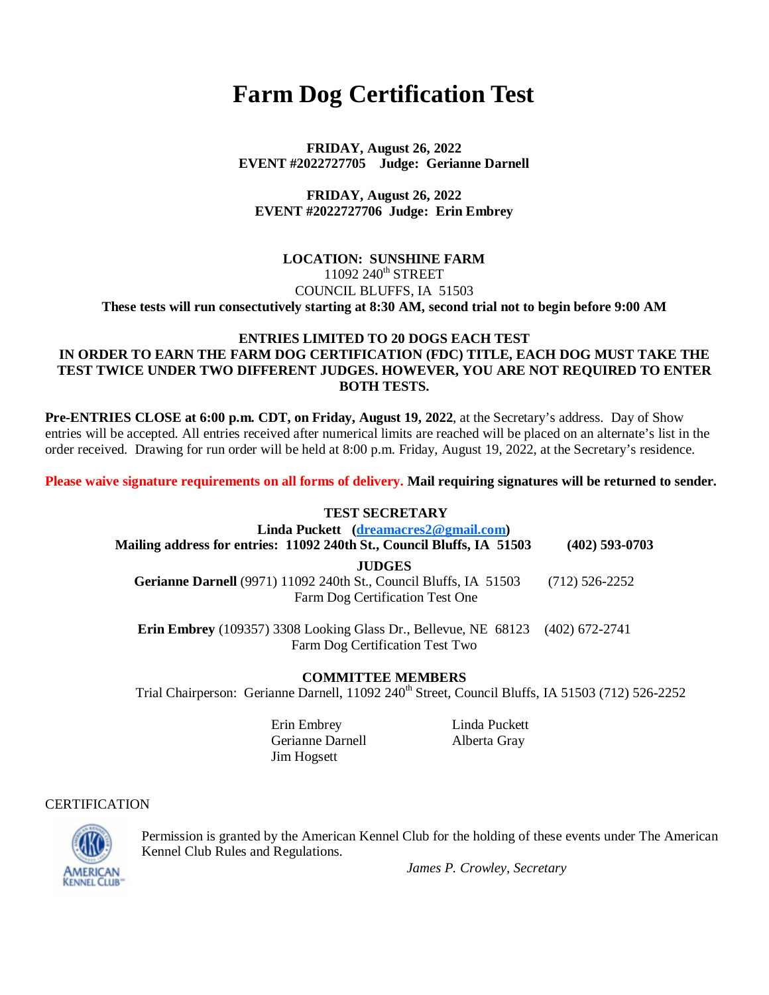# **Farm Dog Certification Test**

**FRIDAY, August 26, 2022 EVENT #2022727705 Judge: Gerianne Darnell**

**FRIDAY, August 26, 2022 EVENT #2022727706 Judge: Erin Embrey**

### **LOCATION: SUNSHINE FARM**  $11092$   $240<sup>th</sup>$  STREET COUNCIL BLUFFS, IA 51503 **These tests will run consectutively starting at 8:30 AM, second trial not to begin before 9:00 AM**

# **ENTRIES LIMITED TO 20 DOGS EACH TEST IN ORDER TO EARN THE FARM DOG CERTIFICATION (FDC) TITLE, EACH DOG MUST TAKE THE TEST TWICE UNDER TWO DIFFERENT JUDGES. HOWEVER, YOU ARE NOT REQUIRED TO ENTER BOTH TESTS.**

**Pre-ENTRIES CLOSE at 6:00 p.m. CDT, on Friday, August 19, 2022**, at the Secretary's address. Day of Show entries will be accepted. All entries received after numerical limits are reached will be placed on an alternate's list in the order received. Drawing for run order will be held at 8:00 p.m. Friday, August 19, 2022, at the Secretary's residence.

**Please waive signature requirements on all forms of delivery. Mail requiring signatures will be returned to sender.**

## **TEST SECRETARY**

**Linda Puckett [\(dreamacres2@gmail.com\)](mailto:(dreamacres2@gmail.com)) Mailing address for entries: 11092 240th St., Council Bluffs, IA 51503 (402) 593-0703 JUDGES Gerianne Darnell** (9971) 11092 240th St., Council Bluffs, IA 51503 (712) 526-2252 Farm Dog Certification Test One

**Erin Embrey** (109357) 3308 Looking Glass Dr., Bellevue, NE 68123 (402) 672-2741 Farm Dog Certification Test Two

**COMMITTEE MEMBERS**

Trial Chairperson: Gerianne Darnell, 11092 240<sup>th</sup> Street, Council Bluffs, IA 51503 (712) 526-2252

Erin Embrey Linda Puckett Gerianne Darnell Alberta Gray Jim Hogsett

### **CERTIFICATION**



Permission is granted by the American Kennel Club for the holding of these events under The American Kennel Club Rules and Regulations.

*James P. Crowley, Secretary*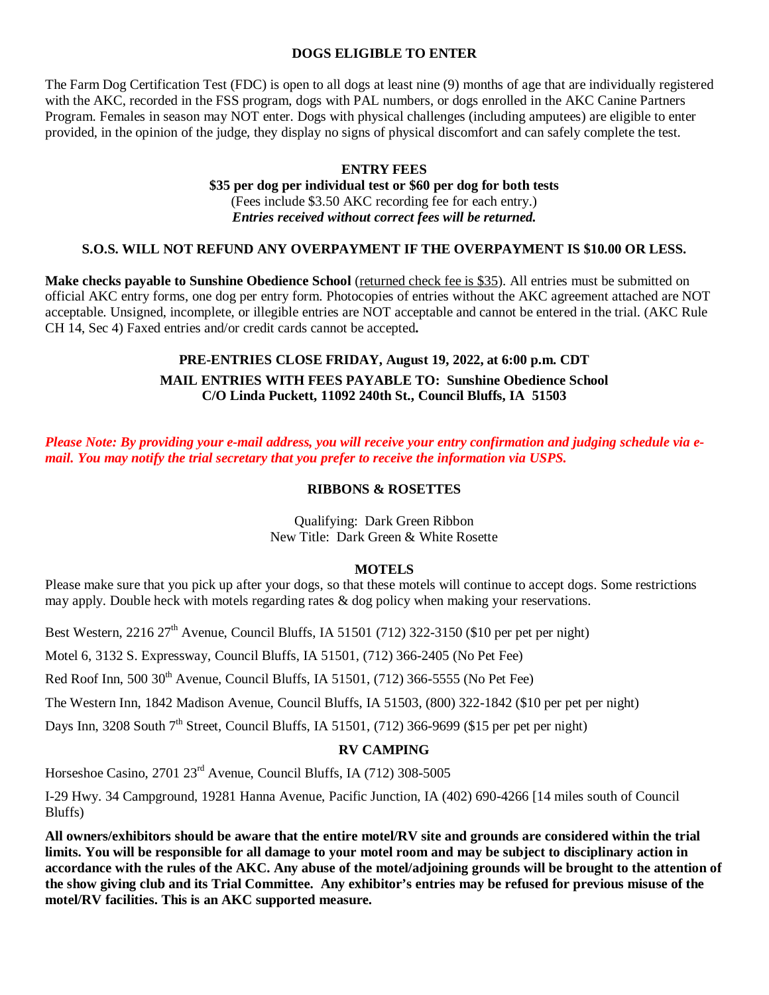## **DOGS ELIGIBLE TO ENTER**

The Farm Dog Certification Test (FDC) is open to all dogs at least nine (9) months of age that are individually registered with the AKC, recorded in the FSS program, dogs with PAL numbers, or dogs enrolled in the AKC Canine Partners Program. Females in season may NOT enter. Dogs with physical challenges (including amputees) are eligible to enter provided, in the opinion of the judge, they display no signs of physical discomfort and can safely complete the test.

#### **ENTRY FEES \$35 per dog per individual test or \$60 per dog for both tests** (Fees include \$3.50 AKC recording fee for each entry.) *Entries received without correct fees will be returned.*

# **S.O.S. WILL NOT REFUND ANY OVERPAYMENT IF THE OVERPAYMENT IS \$10.00 OR LESS.**

**Make checks payable to Sunshine Obedience School** (returned check fee is \$35). All entries must be submitted on official AKC entry forms, one dog per entry form. Photocopies of entries without the AKC agreement attached are NOT acceptable. Unsigned, incomplete, or illegible entries are NOT acceptable and cannot be entered in the trial. (AKC Rule CH 14, Sec 4) Faxed entries and/or credit cards cannot be accepted**.** 

# **PRE-ENTRIES CLOSE FRIDAY, August 19, 2022, at 6:00 p.m. CDT MAIL ENTRIES WITH FEES PAYABLE TO: Sunshine Obedience School C/O Linda Puckett, 11092 240th St., Council Bluffs, IA 51503**

*Please Note: By providing your e-mail address, you will receive your entry confirmation and judging schedule via email. You may notify the trial secretary that you prefer to receive the information via USPS.*

### **RIBBONS & ROSETTES**

# Qualifying: Dark Green Ribbon New Title: Dark Green & White Rosette

### **MOTELS**

Please make sure that you pick up after your dogs, so that these motels will continue to accept dogs. Some restrictions may apply. Double heck with motels regarding rates & dog policy when making your reservations.

Best Western, 2216  $27<sup>th</sup>$  Avenue, Council Bluffs, IA 51501 (712) 322-3150 (\$10 per pet per night)

Motel 6, 3132 S. Expressway, Council Bluffs, IA 51501, (712) 366-2405 (No Pet Fee)

Red Roof Inn,  $500\,30<sup>th</sup>$  Avenue, Council Bluffs, IA 51501, (712) 366-5555 (No Pet Fee)

The Western Inn, 1842 Madison Avenue, Council Bluffs, IA 51503, (800) 322-1842 (\$10 per pet per night)

Days Inn, 3208 South  $7<sup>th</sup>$  Street, Council Bluffs, IA 51501, (712) 366-9699 (\$15 per pet per night)

### **RV CAMPING**

Horseshoe Casino, 2701 23rd Avenue, Council Bluffs, IA (712) 308-5005

I-29 Hwy. 34 Campground, 19281 Hanna Avenue, Pacific Junction, IA (402) 690-4266 [14 miles south of Council Bluffs)

**All owners/exhibitors should be aware that the entire motel/RV site and grounds are considered within the trial limits. You will be responsible for all damage to your motel room and may be subject to disciplinary action in accordance with the rules of the AKC. Any abuse of the motel/adjoining grounds will be brought to the attention of the show giving club and its Trial Committee. Any exhibitor's entries may be refused for previous misuse of the motel/RV facilities. This is an AKC supported measure.**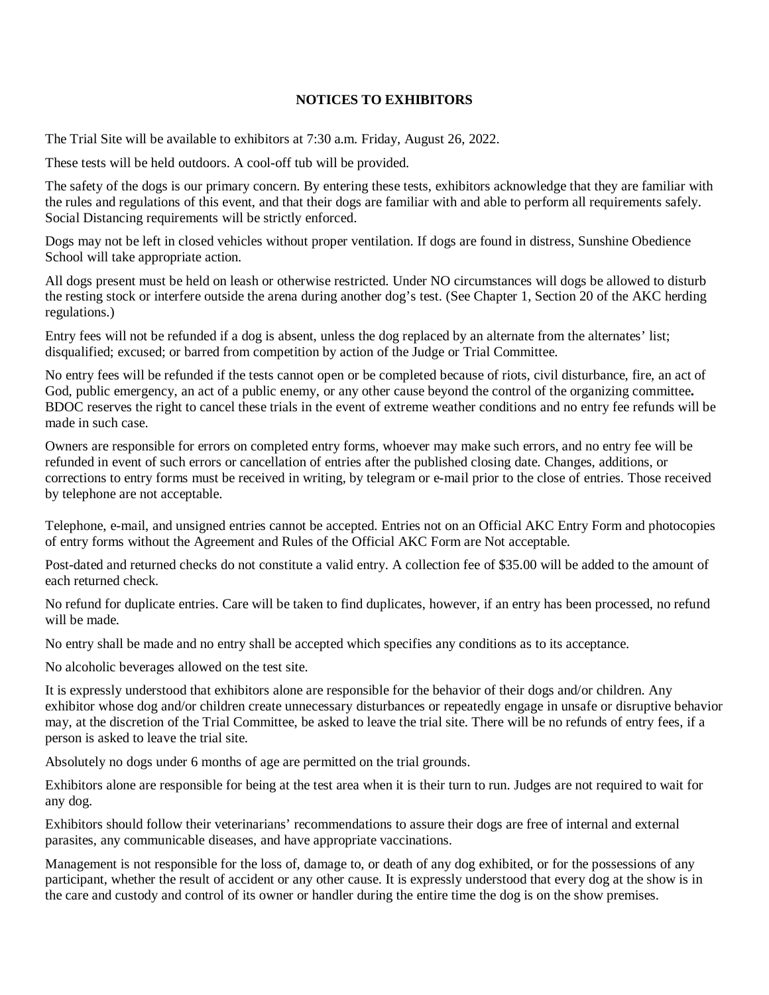# **NOTICES TO EXHIBITORS**

The Trial Site will be available to exhibitors at 7:30 a.m. Friday, August 26, 2022.

These tests will be held outdoors. A cool-off tub will be provided.

The safety of the dogs is our primary concern. By entering these tests, exhibitors acknowledge that they are familiar with the rules and regulations of this event, and that their dogs are familiar with and able to perform all requirements safely. Social Distancing requirements will be strictly enforced.

Dogs may not be left in closed vehicles without proper ventilation. If dogs are found in distress, Sunshine Obedience School will take appropriate action.

All dogs present must be held on leash or otherwise restricted. Under NO circumstances will dogs be allowed to disturb the resting stock or interfere outside the arena during another dog's test. (See Chapter 1, Section 20 of the AKC herding regulations.)

Entry fees will not be refunded if a dog is absent, unless the dog replaced by an alternate from the alternates' list; disqualified; excused; or barred from competition by action of the Judge or Trial Committee.

No entry fees will be refunded if the tests cannot open or be completed because of riots, civil disturbance, fire, an act of God, public emergency, an act of a public enemy, or any other cause beyond the control of the organizing committee**.**  BDOC reserves the right to cancel these trials in the event of extreme weather conditions and no entry fee refunds will be made in such case.

Owners are responsible for errors on completed entry forms, whoever may make such errors, and no entry fee will be refunded in event of such errors or cancellation of entries after the published closing date. Changes, additions, or corrections to entry forms must be received in writing, by telegram or e-mail prior to the close of entries. Those received by telephone are not acceptable.

Telephone, e-mail, and unsigned entries cannot be accepted. Entries not on an Official AKC Entry Form and photocopies of entry forms without the Agreement and Rules of the Official AKC Form are Not acceptable.

Post-dated and returned checks do not constitute a valid entry. A collection fee of \$35.00 will be added to the amount of each returned check.

No refund for duplicate entries. Care will be taken to find duplicates, however, if an entry has been processed, no refund will be made.

No entry shall be made and no entry shall be accepted which specifies any conditions as to its acceptance.

No alcoholic beverages allowed on the test site.

It is expressly understood that exhibitors alone are responsible for the behavior of their dogs and/or children. Any exhibitor whose dog and/or children create unnecessary disturbances or repeatedly engage in unsafe or disruptive behavior may, at the discretion of the Trial Committee, be asked to leave the trial site. There will be no refunds of entry fees, if a person is asked to leave the trial site.

Absolutely no dogs under 6 months of age are permitted on the trial grounds.

Exhibitors alone are responsible for being at the test area when it is their turn to run. Judges are not required to wait for any dog.

Exhibitors should follow their veterinarians' recommendations to assure their dogs are free of internal and external parasites, any communicable diseases, and have appropriate vaccinations.

Management is not responsible for the loss of, damage to, or death of any dog exhibited, or for the possessions of any participant, whether the result of accident or any other cause. It is expressly understood that every dog at the show is in the care and custody and control of its owner or handler during the entire time the dog is on the show premises.